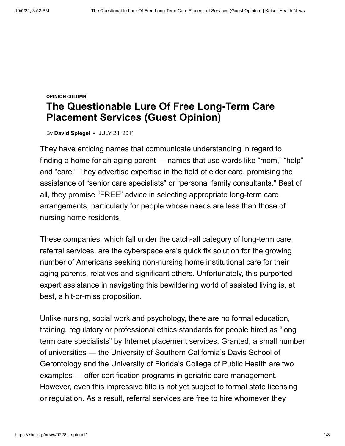## **OPINION COLUMN The Questionable Lure Of Free Long-Term Care Placement Services (Guest Opinion)**

By **[David Spiegel](https://khn.org/news/author/david-spiegel/)** • JULY 28, 2011

They have enticing names that communicate understanding in regard to finding a home for an aging parent — names that use words like "mom," "help" and "care." They advertise expertise in the field of elder care, promising the assistance of "senior care specialists" or "personal family consultants." Best of all, they promise "FREE" advice in selecting appropriate long-term care arrangements, particularly for people whose needs are less than those of nursing home residents.

These companies, which fall under the catch-all category of long-term care referral services, are the cyberspace era's quick fix solution for the growing number of Americans seeking non-nursing home institutional care for their aging parents, relatives and significant others. Unfortunately, this purported expert assistance in navigating this bewildering world of assisted living is, at best, a hit-or-miss proposition.

Unlike nursing, social work and psychology, there are no formal education, training, regulatory or professional ethics standards for people hired as "long term care specialists" by Internet placement services. Granted, a small number of universities — the University of Southern California's Davis School of Gerontology and the University of Florida's College of Public Health are two examples — offer certification programs in geriatric care management. However, even this impressive title is not yet subject to formal state licensing or regulation. As a result, referral services are free to hire whomever they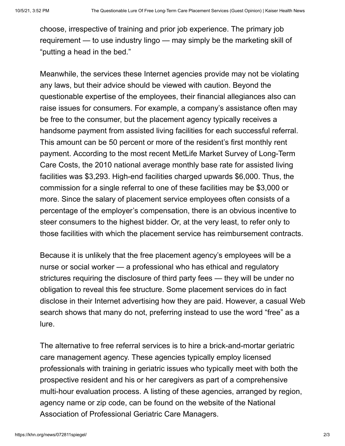choose, irrespective of training and prior job experience. The primary job requirement — to use industry lingo — may simply be the marketing skill of "putting a head in the bed."

Meanwhile, the services these Internet agencies provide may not be violating any laws, but their advice should be viewed with caution. Beyond the questionable expertise of the employees, their financial allegiances also can raise issues for consumers. For example, a company's assistance often may be free to the consumer, but the placement agency typically receives a handsome payment from assisted living facilities for each successful referral. This amount can be 50 percent or more of the resident's first monthly rent payment. According to the most recent MetLife Market Survey of Long-Term Care Costs, the 2010 national average monthly base rate for assisted living facilities was \$3,293. High-end facilities charged upwards \$6,000. Thus, the commission for a single referral to one of these facilities may be \$3,000 or more. Since the salary of placement service employees often consists of a percentage of the employer's compensation, there is an obvious incentive to steer consumers to the highest bidder. Or, at the very least, to refer only to those facilities with which the placement service has reimbursement contracts.

Because it is unlikely that the free placement agency's employees will be a nurse or social worker — a professional who has ethical and regulatory strictures requiring the disclosure of third party fees — they will be under no obligation to reveal this fee structure. Some placement services do in fact disclose in their Internet advertising how they are paid. However, a casual Web search shows that many do not, preferring instead to use the word "free" as a lure.

The alternative to free referral services is to hire a brick-and-mortar geriatric care management agency. These agencies typically employ licensed professionals with training in geriatric issues who typically meet with both the prospective resident and his or her caregivers as part of a comprehensive multi-hour evaluation process. A listing of these agencies, arranged by region, agency name or zip code, can be found on the website of the National Association of Professional Geriatric Care Managers.